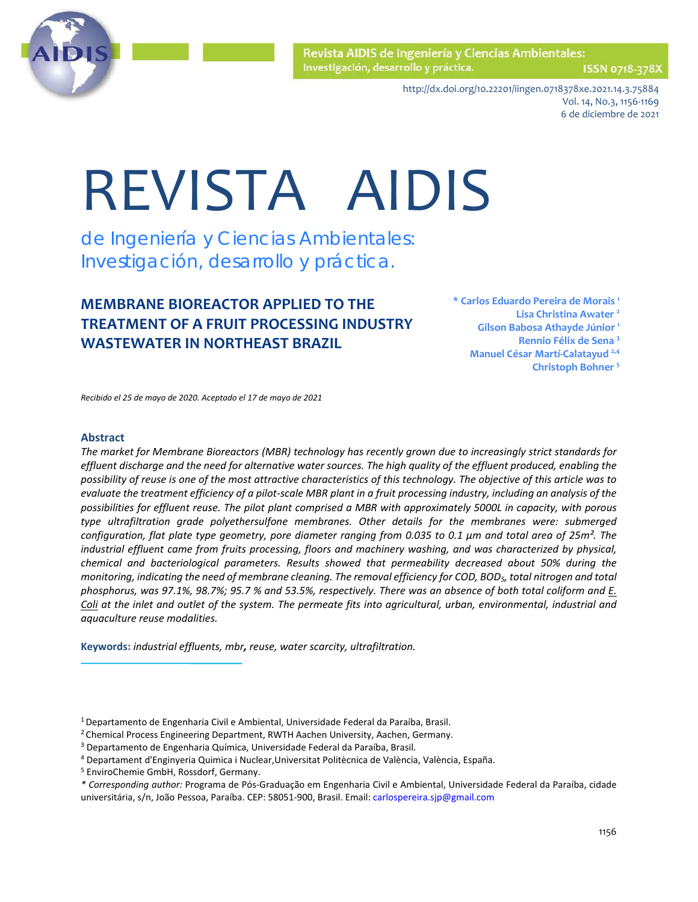

ISSN 0718-378X

http://dx.doi.org/10.22201/iingen.0718378xe.2021.14.3.75884 Vol. 14, No.3, 1156-1169 6 de diciembre de 2021

# REVISTA AIDIS

de Ingeniería y Ciencias Ambientales: Investigación, desarrollo y práctica.

# **MEMBRANE BIOREACTOR APPLIED TO THE TREATMENT OF A FRUIT PROCESSING INDUSTRY WASTEWATER IN NORTHEAST BRAZIL**

**\* Carlos Eduardo Pereira de Morais 1 Lisa Christina Awater 2 Gilson Babosa Athayde Júnior 1 Rennio Félix de Sena 3 Manuel César Martí-Calatayud 2,4 Christoph Bohner 5**

*Recibido el 25 de mayo de 2020. Aceptado el 17 de mayo de 2021*

#### **Abstract**

*The market for Membrane Bioreactors (MBR) technology has recently grown due to increasingly strict standards for effluent discharge and the need for alternative water sources. The high quality of the effluent produced, enabling the possibility of reuse is one of the most attractive characteristics of this technology. The objective of this article was to evaluate the treatment efficiency of a pilot-scale MBR plant in a fruit processing industry, including an analysis of the possibilities for effluent reuse. The pilot plant comprised a MBR with approximately 5000L in capacity, with porous type ultrafiltration grade polyethersulfone membranes. Other details for the membranes were: submerged configuration, flat plate type geometry, pore diameter ranging from 0.035 to 0.1 μm and total area of 25m². The industrial effluent came from fruits processing, floors and machinery washing, and was characterized by physical, chemical and bacteriological parameters. Results showed that permeability decreased about 50% during the monitoring, indicating the need of membrane cleaning. The removal efficiency for COD, BOD5, total nitrogen and total phosphorus, was 97.1%, 98.7%; 95.7 % and 53.5%, respectively. There was an absence of both total coliform and E. Coli at the inlet and outlet of the system. The permeate fits into agricultural, urban, environmental, industrial and aquaculture reuse modalities.*

**Keywords:** *industrial effluents, mbr, reuse, water scarcity, ultrafiltration.*

2 Chemical Process Engineering Department, RWTH Aachen University, Aachen, Germany.

<sup>1</sup> Departamento de Engenharia Civil e Ambiental, Universidade Federal da Paraíba, Brasil.

<sup>3</sup> Departamento de Engenharia Química, Universidade Federal da Paraíba, Brasil.

<sup>4</sup> Departament d'Enginyeria Quimica i Nuclear,Universitat Politècnica de València, València, España.

<sup>5</sup> EnviroChemie GmbH, Rossdorf, Germany.

*<sup>\*</sup> Corresponding author:* Programa de Pós-Graduação em Engenharia Civil e Ambiental, Universidade Federal da Paraíba, cidade universitária, s/n, João Pessoa, Paraíba. CEP: 58051-900, Brasil. Email[: carlospereira.sjp@gmail.com](mailto:carlospereira.sjp@gmail.com)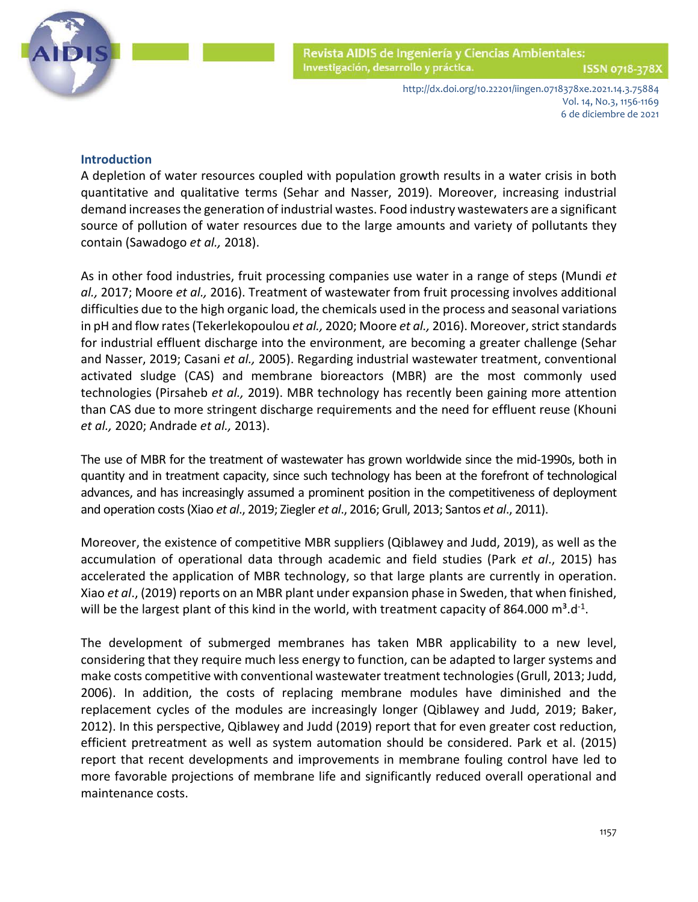

ISSN 0718-378X

http://dx.doi.org/10.22201/iingen.0718378xe.2021.14.3.75884 Vol. 14, No.3, 1156-1169 6 de diciembre de 2021

# **Introduction**

A depletion of water resources coupled with population growth results in a water crisis in both quantitative and qualitative terms (Sehar and Nasser, 2019). Moreover, increasing industrial demand increases the generation of industrial wastes. Food industry wastewaters are a significant source of pollution of water resources due to the large amounts and variety of pollutants they contain (Sawadogo *et al.,* 2018).

As in other food industries, fruit processing companies use water in a range of steps (Mundi *et al.,* 2017; Moore *et al.,* 2016). Treatment of wastewater from fruit processing involves additional difficulties due to the high organic load, the chemicals used in the process and seasonal variations in pH and flow rates (Tekerlekopoulou *et al.,* 2020; Moore *et al.,* 2016). Moreover, strict standards for industrial effluent discharge into the environment, are becoming a greater challenge (Sehar and Nasser, 2019; Casani *et al.,* 2005). Regarding industrial wastewater treatment, conventional activated sludge (CAS) and membrane bioreactors (MBR) are the most commonly used technologies (Pirsaheb *et al.,* 2019). MBR technology has recently been gaining more attention than CAS due to more stringent discharge requirements and the need for effluent reuse (Khouni *et al.,* 2020; Andrade *et al.,* 2013).

The use of MBR for the treatment of wastewater has grown worldwide since the mid-1990s, both in quantity and in treatment capacity, since such technology has been at the forefront of technological advances, and has increasingly assumed a prominent position in the competitiveness of deployment and operation costs (Xiao *et al*., 2019; Ziegler *et al*., 2016; Grull, 2013; Santos *et al*., 2011).

Moreover, the existence of competitive MBR suppliers (Qiblawey and Judd, 2019), as well as the accumulation of operational data through academic and field studies (Park *et al*., 2015) has accelerated the application of MBR technology, so that large plants are currently in operation. Xiao *et al*., (2019) reports on an MBR plant under expansion phase in Sweden, that when finished, will be the largest plant of this kind in the world, with treatment capacity of 864.000  $m^3$ .d<sup>-1</sup>.

The development of submerged membranes has taken MBR applicability to a new level, considering that they require much less energy to function, can be adapted to larger systems and make costs competitive with conventional wastewater treatment technologies (Grull, 2013; Judd, 2006). In addition, the costs of replacing membrane modules have diminished and the replacement cycles of the modules are increasingly longer (Qiblawey and Judd, 2019; Baker, 2012). In this perspective, Qiblawey and Judd (2019) report that for even greater cost reduction, efficient pretreatment as well as system automation should be considered. Park et al. (2015) report that recent developments and improvements in membrane fouling control have led to more favorable projections of membrane life and significantly reduced overall operational and maintenance costs.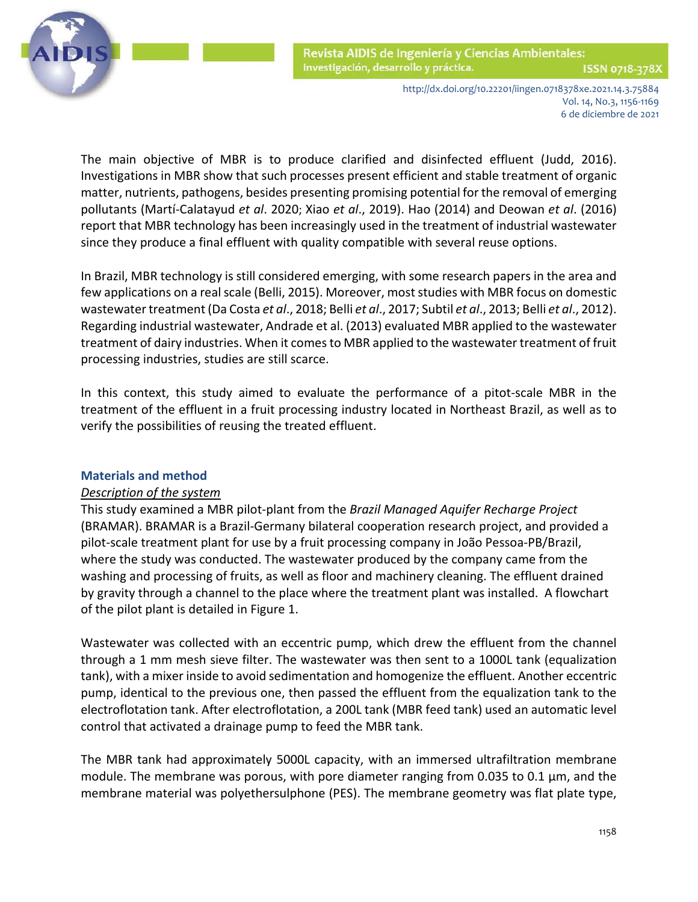

 The main objective of MBR is to produce clarified and disinfected effluent (Judd, 2016). Investigations in MBR show that such processes present efficient and stable treatment of organic matter, nutrients, pathogens, besides presenting promising potential for the removal of emerging pollutants (Martí-Calatayud *et al*. 2020; Xiao *et al*., 2019). Hao (2014) and Deowan *et al*. (2016) report that MBR technology has been increasingly used in the treatment of industrial wastewater since they produce a final effluent with quality compatible with several reuse options.

In Brazil, MBR technology is still considered emerging, with some research papers in the area and few applications on a real scale (Belli, 2015). Moreover, most studies with MBR focus on domestic wastewater treatment (Da Costa *et al*., 2018; Belli *et al*., 2017; Subtil *et al*., 2013; Belli *et al*., 2012). Regarding industrial wastewater, Andrade et al. (2013) evaluated MBR applied to the wastewater treatment of dairy industries. When it comes to MBR applied to the wastewater treatment of fruit processing industries, studies are still scarce.

In this context, this study aimed to evaluate the performance of a pitot-scale MBR in the treatment of the effluent in a fruit processing industry located in Northeast Brazil, as well as to verify the possibilities of reusing the treated effluent.

## **Materials and method**

## *Description of the system*

This study examined a MBR pilot-plant from the *Brazil Managed Aquifer Recharge Project*  (BRAMAR). BRAMAR is a Brazil-Germany bilateral cooperation research project, and provided a pilot-scale treatment plant for use by a fruit processing company in João Pessoa-PB/Brazil, where the study was conducted. The wastewater produced by the company came from the washing and processing of fruits, as well as floor and machinery cleaning. The effluent drained by gravity through a channel to the place where the treatment plant was installed. A flowchart of the pilot plant is detailed in Figure 1.

Wastewater was collected with an eccentric pump, which drew the effluent from the channel through a 1 mm mesh sieve filter. The wastewater was then sent to a 1000L tank (equalization tank), with a mixer inside to avoid sedimentation and homogenize the effluent. Another eccentric pump, identical to the previous one, then passed the effluent from the equalization tank to the electroflotation tank. After electroflotation, a 200L tank (MBR feed tank) used an automatic level control that activated a drainage pump to feed the MBR tank.

The MBR tank had approximately 5000L capacity, with an immersed ultrafiltration membrane module. The membrane was porous, with pore diameter ranging from 0.035 to 0.1 μm, and the membrane material was polyethersulphone (PES). The membrane geometry was flat plate type,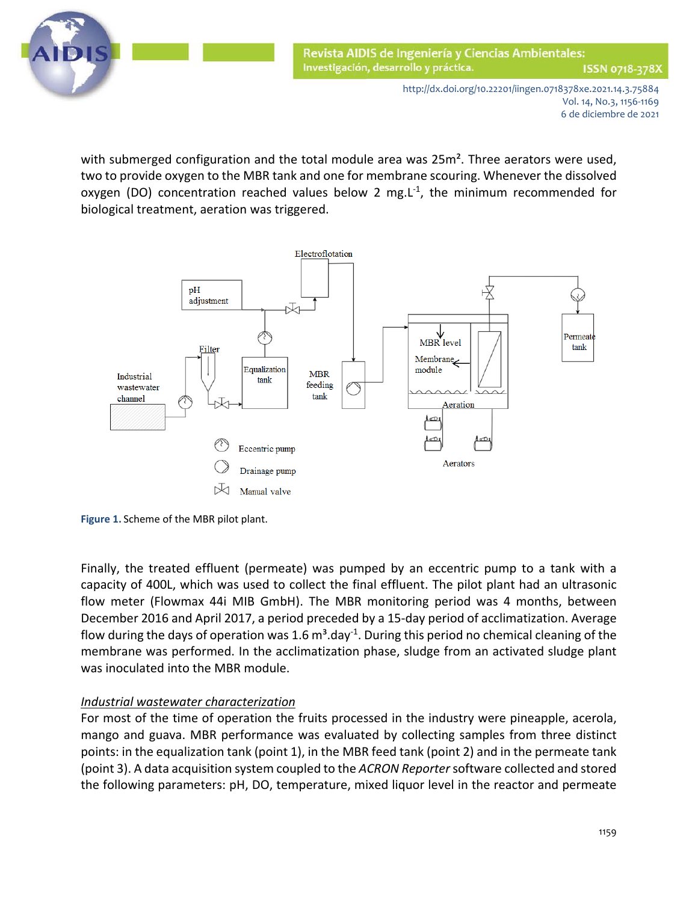

with submerged configuration and the total module area was  $25m<sup>2</sup>$ . Three aerators were used, two to provide oxygen to the MBR tank and one for membrane scouring. Whenever the dissolved oxygen (DO) concentration reached values below 2 mg.L $^{-1}$ , the minimum recommended for biological treatment, aeration was triggered.



**Figure 1.** Scheme of the MBR pilot plant.

Finally, the treated effluent (permeate) was pumped by an eccentric pump to a tank with a capacity of 400L, which was used to collect the final effluent. The pilot plant had an ultrasonic flow meter (Flowmax 44i MIB GmbH). The MBR monitoring period was 4 months, between December 2016 and April 2017, a period preceded by a 15-day period of acclimatization. Average flow during the days of operation was 1.6  $m^3$ .day<sup>-1</sup>. During this period no chemical cleaning of the membrane was performed. In the acclimatization phase, sludge from an activated sludge plant was inoculated into the MBR module.

# *Industrial wastewater characterization*

For most of the time of operation the fruits processed in the industry were pineapple, acerola, mango and guava. MBR performance was evaluated by collecting samples from three distinct points: in the equalization tank (point 1), in the MBR feed tank (point 2) and in the permeate tank (point 3). A data acquisition system coupled to the *ACRON Reporter*software collected and stored the following parameters: pH, DO, temperature, mixed liquor level in the reactor and permeate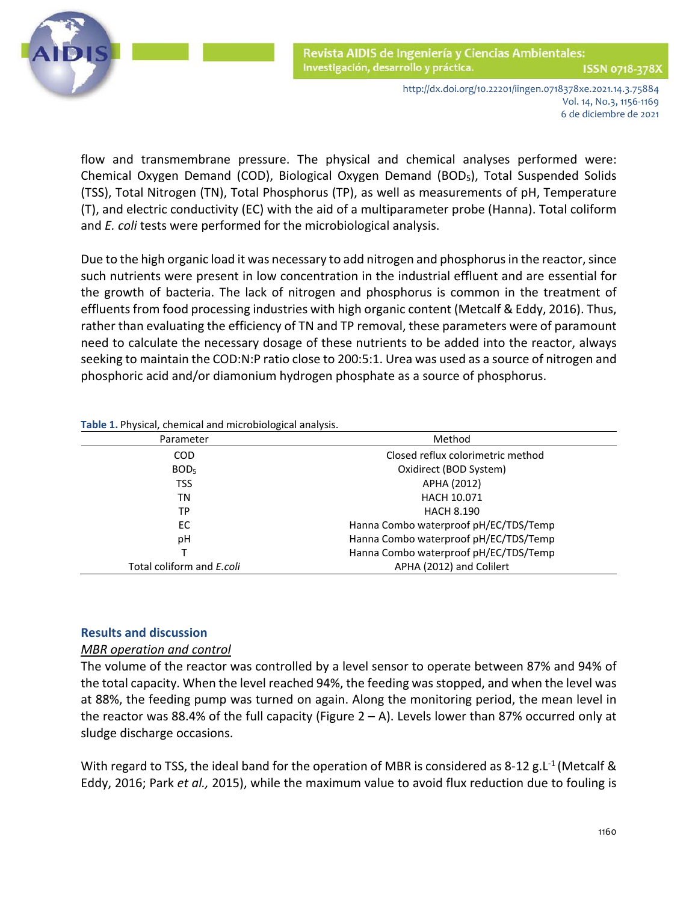

 flow and transmembrane pressure. The physical and chemical analyses performed were: Chemical Oxygen Demand (COD), Biological Oxygen Demand (BOD5), Total Suspended Solids (TSS), Total Nitrogen (TN), Total Phosphorus (TP), as well as measurements of pH, Temperature (T), and electric conductivity (EC) with the aid of a multiparameter probe (Hanna). Total coliform and *E. coli* tests were performed for the microbiological analysis.

Due to the high organic load it was necessary to add nitrogen and phosphorus in the reactor, since such nutrients were present in low concentration in the industrial effluent and are essential for the growth of bacteria. The lack of nitrogen and phosphorus is common in the treatment of effluents from food processing industries with high organic content (Metcalf & Eddy, 2016). Thus, rather than evaluating the efficiency of TN and TP removal, these parameters were of paramount need to calculate the necessary dosage of these nutrients to be added into the reactor, always seeking to maintain the COD:N:P ratio close to 200:5:1. Urea was used as a source of nitrogen and phosphoric acid and/or diamonium hydrogen phosphate as a source of phosphorus.

| ັ                                |                                                                                  |  |  |  |  |  |
|----------------------------------|----------------------------------------------------------------------------------|--|--|--|--|--|
| Parameter                        | Method                                                                           |  |  |  |  |  |
| <b>COD</b>                       | Closed reflux colorimetric method                                                |  |  |  |  |  |
| BOD <sub>5</sub>                 | Oxidirect (BOD System)<br>APHA (2012)<br><b>HACH 10.071</b><br><b>HACH 8.190</b> |  |  |  |  |  |
| <b>TSS</b>                       |                                                                                  |  |  |  |  |  |
| ΤN                               |                                                                                  |  |  |  |  |  |
| ТP                               |                                                                                  |  |  |  |  |  |
| ЕC                               | Hanna Combo waterproof pH/EC/TDS/Temp                                            |  |  |  |  |  |
| рH                               | Hanna Combo waterproof pH/EC/TDS/Temp                                            |  |  |  |  |  |
|                                  | Hanna Combo waterproof pH/EC/TDS/Temp                                            |  |  |  |  |  |
| Total coliform and <i>E.coli</i> | APHA (2012) and Colilert                                                         |  |  |  |  |  |

**Table 1.** Physical, chemical and microbiological analysis.

## **Results and discussion**

## *MBR operation and control*

The volume of the reactor was controlled by a level sensor to operate between 87% and 94% of the total capacity. When the level reached 94%, the feeding was stopped, and when the level was at 88%, the feeding pump was turned on again. Along the monitoring period, the mean level in the reactor was 88.4% of the full capacity (Figure  $2 - A$ ). Levels lower than 87% occurred only at sludge discharge occasions.

With regard to TSS, the ideal band for the operation of MBR is considered as 8-12 g.L<sup>-1</sup> (Metcalf & Eddy, 2016; Park *et al.,* 2015), while the maximum value to avoid flux reduction due to fouling is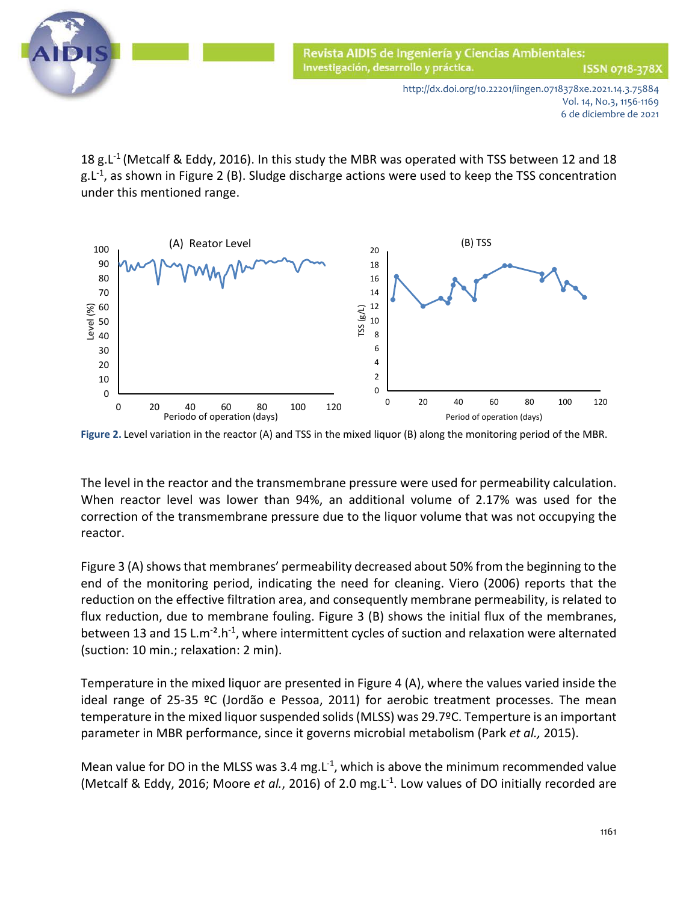

18 g.L<sup>-1</sup> (Metcalf & Eddy, 2016). In this study the MBR was operated with TSS between 12 and 18  $g.L<sup>-1</sup>$ , as shown in Figure 2 (B). Sludge discharge actions were used to keep the TSS concentration under this mentioned range.



**Figure 2.** Level variation in the reactor (A) and TSS in the mixed liquor (B) along the monitoring period of the MBR.

The level in the reactor and the transmembrane pressure were used for permeability calculation. When reactor level was lower than 94%, an additional volume of 2.17% was used for the correction of the transmembrane pressure due to the liquor volume that was not occupying the reactor.

Figure 3 (A) shows that membranes' permeability decreased about 50% from the beginning to the end of the monitoring period, indicating the need for cleaning. Viero (2006) reports that the reduction on the effective filtration area, and consequently membrane permeability, is related to flux reduction, due to membrane fouling. Figure 3 (B) shows the initial flux of the membranes, between 13 and 15 L.m<sup>-2</sup>.h<sup>-1</sup>, where intermittent cycles of suction and relaxation were alternated (suction: 10 min.; relaxation: 2 min).

Temperature in the mixed liquor are presented in Figure 4 (A), where the values varied inside the ideal range of 25-35 ºC (Jordão e Pessoa, 2011) for aerobic treatment processes. The mean temperature in the mixed liquor suspended solids (MLSS) was 29.7ºC. Temperture is an important parameter in MBR performance, since it governs microbial metabolism (Park *et al.,* 2015).

Mean value for DO in the MLSS was 3.4 mg.  $L^{-1}$ , which is above the minimum recommended value (Metcalf & Eddy, 2016; Moore *et al.*, 2016) of 2.0 mg.L-1. Low values of DO initially recorded are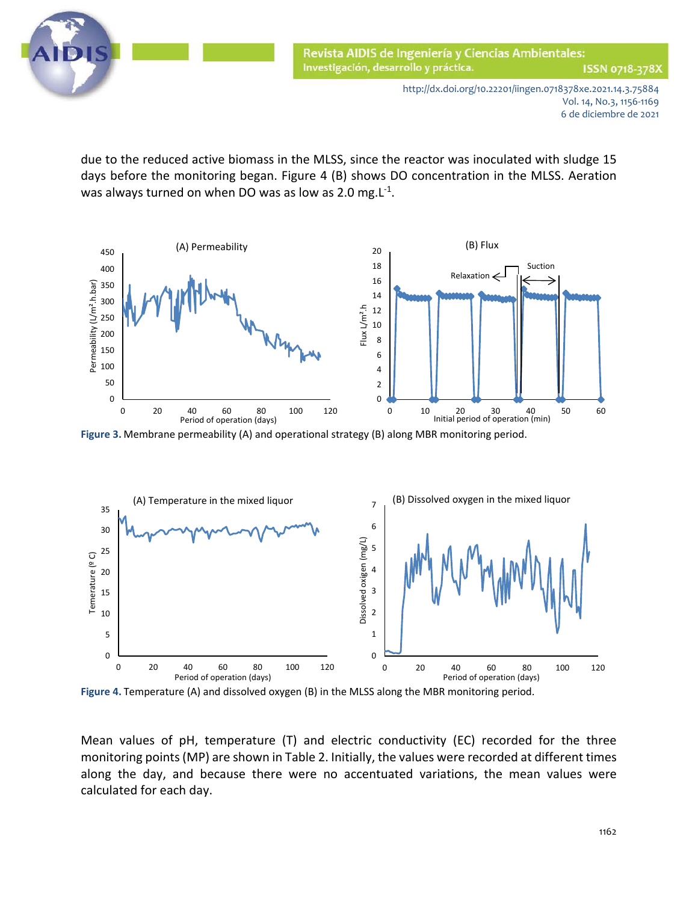

 due to the reduced active biomass in the MLSS, since the reactor was inoculated with sludge 15 days before the monitoring began. Figure 4 (B) shows DO concentration in the MLSS. Aeration was always turned on when DO was as low as 2.0 mg.L<sup>-1</sup>.



**Figure 3.** Membrane permeability (A) and operational strategy (B) along MBR monitoring period.



**Figure 4.** Temperature (A) and dissolved oxygen (B) in the MLSS along the MBR monitoring period.

Mean values of pH, temperature (T) and electric conductivity (EC) recorded for the three monitoring points (MP) are shown in Table 2. Initially, the values were recorded at different times along the day, and because there were no accentuated variations, the mean values were calculated for each day.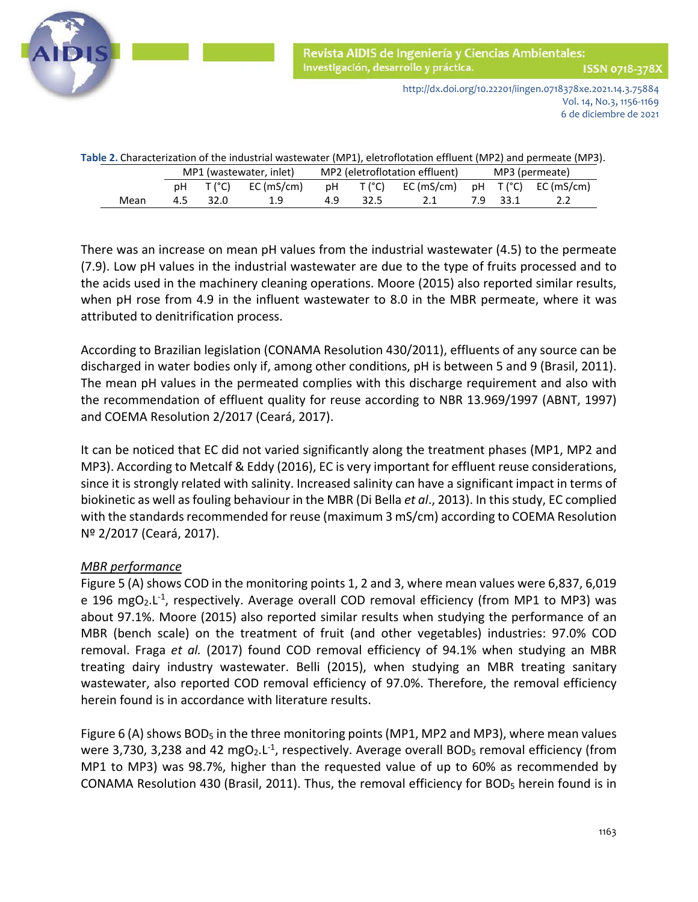

http://dx.doi.org/10.22201/iingen.0718378xe.2021.14.3.75884 Vol. 14, No.3, 1156-1169 6 de diciembre de 2021

| Table 2. Characterization of the industrial wastewater (MP1), eletroflotation effluent (MP2) and permeate (MP3). |      |                         |          |            |                                |          |                                |                |          |     |  |  |
|------------------------------------------------------------------------------------------------------------------|------|-------------------------|----------|------------|--------------------------------|----------|--------------------------------|----------------|----------|-----|--|--|
|                                                                                                                  |      | MP1 (wastewater, inlet) |          |            | MP2 (eletroflotation effluent) |          |                                | MP3 (permeate) |          |     |  |  |
|                                                                                                                  |      |                         | pH T(°C) | EC (mS/cm) |                                | pH T(°C) | EC(mS/cm) $pH T("C) EC(mS/cm)$ |                |          |     |  |  |
|                                                                                                                  | Mean | 4.5                     | 32.0     | 19         | 49                             | 32.5     | 2.1                            |                | 7.9 33.1 | 2.2 |  |  |

There was an increase on mean pH values from the industrial wastewater (4.5) to the permeate (7.9). Low pH values in the industrial wastewater are due to the type of fruits processed and to the acids used in the machinery cleaning operations. Moore (2015) also reported similar results, when pH rose from 4.9 in the influent wastewater to 8.0 in the MBR permeate, where it was attributed to denitrification process.

According to Brazilian legislation (CONAMA Resolution 430/2011), effluents of any source can be discharged in water bodies only if, among other conditions, pH is between 5 and 9 (Brasil, 2011). The mean pH values in the permeated complies with this discharge requirement and also with the recommendation of effluent quality for reuse according to NBR 13.969/1997 (ABNT, 1997) and COEMA Resolution 2/2017 (Ceará, 2017).

It can be noticed that EC did not varied significantly along the treatment phases (MP1, MP2 and MP3). According to Metcalf & Eddy (2016), EC is very important for effluent reuse considerations, since it is strongly related with salinity. Increased salinity can have a significant impact in terms of biokinetic as well as fouling behaviour in the MBR (Di Bella *et al*., 2013). In this study, EC complied with the standards recommended for reuse (maximum 3 mS/cm) according to COEMA Resolution Nº 2/2017 (Ceará, 2017).

# *MBR performance*

Figure 5 (A) shows COD in the monitoring points 1, 2 and 3, where mean values were 6,837, 6,019 e 196 mgO<sub>2</sub>.L<sup>-1</sup>, respectively. Average overall COD removal efficiency (from MP1 to MP3) was about 97.1%. Moore (2015) also reported similar results when studying the performance of an MBR (bench scale) on the treatment of fruit (and other vegetables) industries: 97.0% COD removal. Fraga *et al.* (2017) found COD removal efficiency of 94.1% when studying an MBR treating dairy industry wastewater. Belli (2015), when studying an MBR treating sanitary wastewater, also reported COD removal efficiency of 97.0%. Therefore, the removal efficiency herein found is in accordance with literature results.

Figure 6 (A) shows BOD<sub>5</sub> in the three monitoring points (MP1, MP2 and MP3), where mean values were 3,730, 3,238 and 42 mgO<sub>2</sub>.L<sup>-1</sup>, respectively. Average overall BOD<sub>5</sub> removal efficiency (from MP1 to MP3) was 98.7%, higher than the requested value of up to 60% as recommended by CONAMA Resolution 430 (Brasil, 2011). Thus, the removal efficiency for BOD5 herein found is in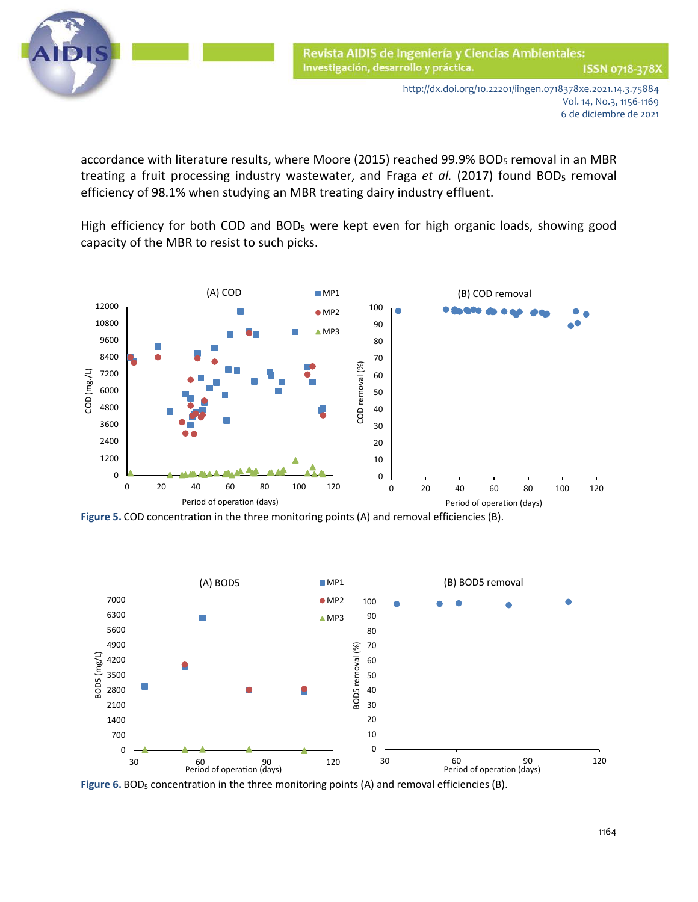

accordance with literature results, where Moore (2015) reached 99.9% BOD<sub>5</sub> removal in an MBR treating a fruit processing industry wastewater, and Fraga et al. (2017) found BOD<sub>5</sub> removal efficiency of 98.1% when studying an MBR treating dairy industry effluent.

High efficiency for both COD and BOD<sub>5</sub> were kept even for high organic loads, showing good capacity of the MBR to resist to such picks.



**Figure 5.** COD concentration in the three monitoring points (A) and removal efficiencies (B).



Figure 6. BOD<sub>5</sub> concentration in the three monitoring points (A) and removal efficiencies (B).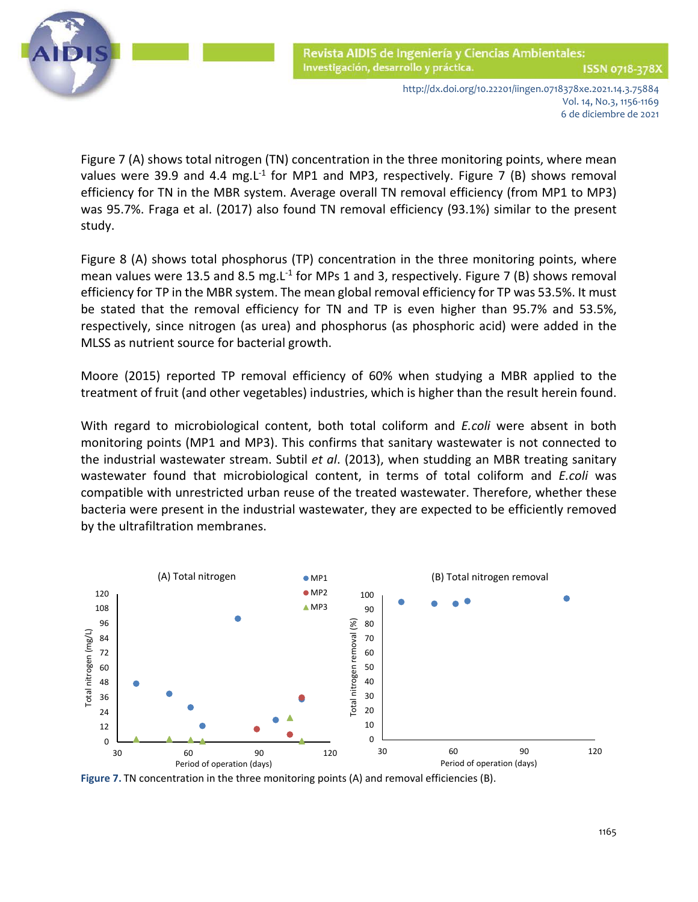

ISSN 0718-378X

http://dx.doi.org/10.22201/iingen.0718378xe.2021.14.3.75884 Vol. 14, No.3, 1156-1169 6 de diciembre de 2021

 Figure 7 (A) shows total nitrogen (TN) concentration in the three monitoring points, where mean values were 39.9 and 4.4 mg.  $L<sup>-1</sup>$  for MP1 and MP3, respectively. Figure 7 (B) shows removal efficiency for TN in the MBR system. Average overall TN removal efficiency (from MP1 to MP3) was 95.7%. Fraga et al. (2017) also found TN removal efficiency (93.1%) similar to the present study.

Figure 8 (A) shows total phosphorus (TP) concentration in the three monitoring points, where mean values were 13.5 and 8.5 mg.  $L^{-1}$  for MPs 1 and 3, respectively. Figure 7 (B) shows removal efficiency for TP in the MBR system. The mean global removal efficiency for TP was 53.5%. It must be stated that the removal efficiency for TN and TP is even higher than 95.7% and 53.5%, respectively, since nitrogen (as urea) and phosphorus (as phosphoric acid) were added in the MLSS as nutrient source for bacterial growth.

Moore (2015) reported TP removal efficiency of 60% when studying a MBR applied to the treatment of fruit (and other vegetables) industries, which is higher than the result herein found.

With regard to microbiological content, both total coliform and *E.coli* were absent in both monitoring points (MP1 and MP3). This confirms that sanitary wastewater is not connected to the industrial wastewater stream. Subtil *et al*. (2013), when studding an MBR treating sanitary wastewater found that microbiological content, in terms of total coliform and *E.coli* was compatible with unrestricted urban reuse of the treated wastewater. Therefore, whether these bacteria were present in the industrial wastewater, they are expected to be efficiently removed by the ultrafiltration membranes.



**Figure 7.** TN concentration in the three monitoring points (A) and removal efficiencies (B).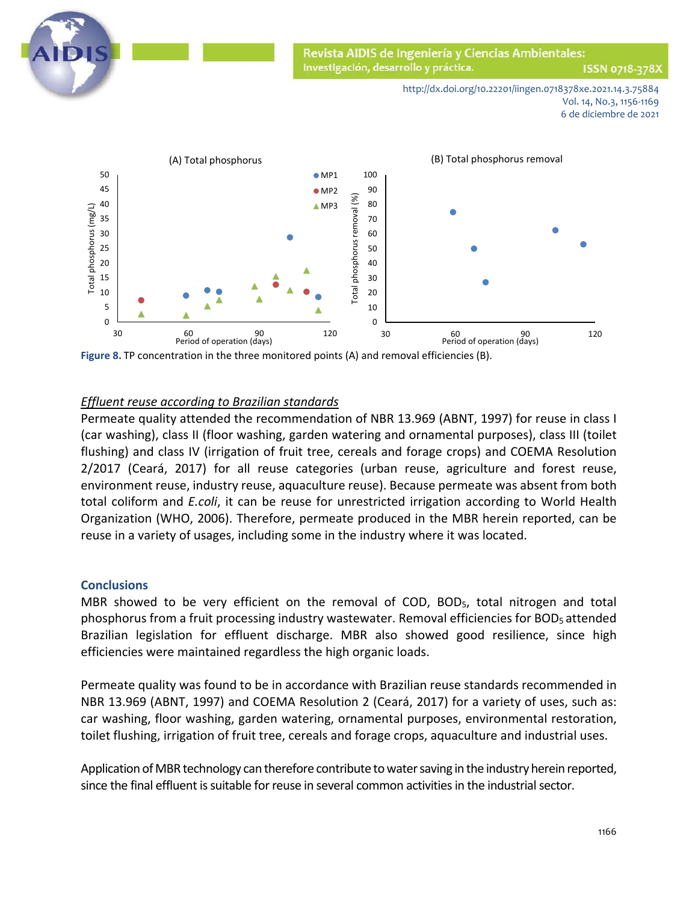

ISSN 0718-378X

http://dx.doi.org/10.22201/iingen.0718378xe.2021.14.3.75884 Vol. 14, No.3, 1156-1169 6 de diciembre de 2021



**Figure 8.** TP concentration in the three monitored points (A) and removal efficiencies (B).

## *Effluent reuse according to Brazilian standards*

Permeate quality attended the recommendation of NBR 13.969 (ABNT, 1997) for reuse in class I (car washing), class II (floor washing, garden watering and ornamental purposes), class III (toilet flushing) and class IV (irrigation of fruit tree, cereals and forage crops) and COEMA Resolution 2/2017 (Ceará, 2017) for all reuse categories (urban reuse, agriculture and forest reuse, environment reuse, industry reuse, aquaculture reuse). Because permeate was absent from both total coliform and *E.coli*, it can be reuse for unrestricted irrigation according to World Health Organization (WHO, 2006). Therefore, permeate produced in the MBR herein reported, can be reuse in a variety of usages, including some in the industry where it was located.

#### **Conclusions**

MBR showed to be very efficient on the removal of COD, BOD<sub>5</sub>, total nitrogen and total phosphorus from a fruit processing industry wastewater. Removal efficiencies for BOD5 attended Brazilian legislation for effluent discharge. MBR also showed good resilience, since high efficiencies were maintained regardless the high organic loads.

Permeate quality was found to be in accordance with Brazilian reuse standards recommended in NBR 13.969 (ABNT, 1997) and COEMA Resolution 2 (Ceará, 2017) for a variety of uses, such as: car washing, floor washing, garden watering, ornamental purposes, environmental restoration, toilet flushing, irrigation of fruit tree, cereals and forage crops, aquaculture and industrial uses.

Application of MBR technology can therefore contribute to water saving in the industry herein reported, since the final effluent is suitable for reuse in several common activities in the industrial sector.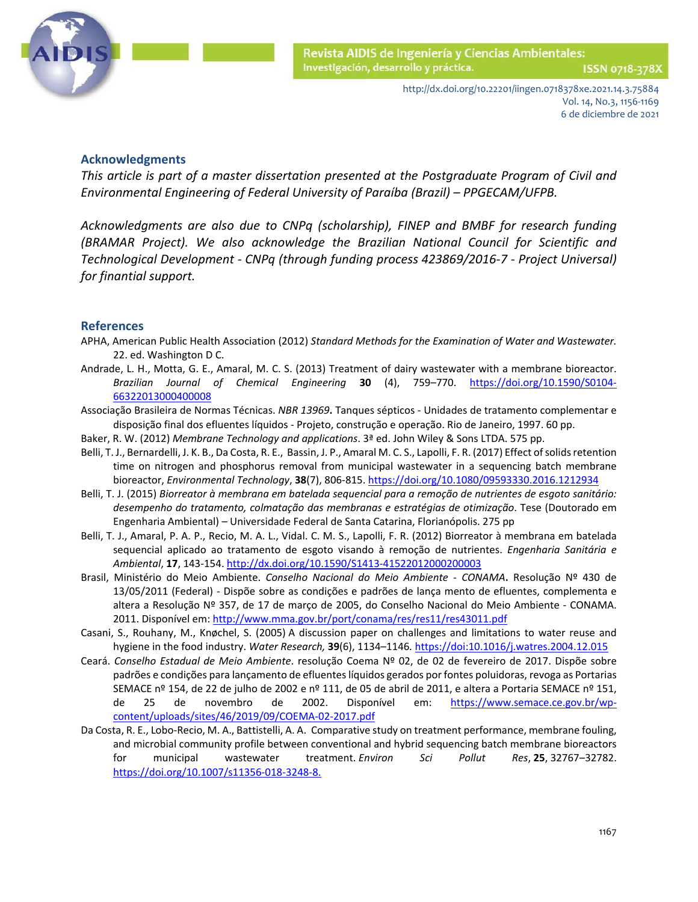

#### **Acknowledgments**

*This article is part of a master dissertation presented at the Postgraduate Program of Civil and Environmental Engineering of Federal University of Paraíba (Brazil) – PPGECAM/UFPB.* 

*Acknowledgments are also due to CNPq (scholarship), FINEP and BMBF for research funding (BRAMAR Project). We also acknowledge the Brazilian National Council for Scientific and Technological Development - CNPq (through funding process 423869/2016-7 - Project Universal) for finantial support.*

#### **References**

- APHA, American Public Health Association (2012) *Standard Methods for the Examination of Water and Wastewater.* 22. ed. Washington D C.
- Andrade, L. H., Motta, G. E., Amaral, M. C. S. (2013) Treatment of dairy wastewater with a membrane bioreactor. *Brazilian Journal of Chemical Engineering* **30** (4), 759–770. [https://doi.org/10.1590/S0104-](https://doi.org/10.1590/S0104-66322013000400008) [66322013000400008](https://doi.org/10.1590/S0104-66322013000400008)
- Associação Brasileira de Normas Técnicas. *NBR 13969***.** Tanques sépticos Unidades de tratamento complementar e disposição final dos efluentes líquidos - Projeto, construção e operação. Rio de Janeiro, 1997. 60 pp.
- Baker, R. W. (2012) *Membrane Technology and applications*. 3ª ed. John Wiley & Sons LTDA. 575 pp.
- Belli, T. J., Bernardelli, J. K. B., Da Costa, R. E., Bassin, J. P., Amaral M. C. S., Lapolli, F. R. (2017) Effect of solids retention time on nitrogen and phosphorus removal from municipal wastewater in a sequencing batch membrane bioreactor, *Environmental Technology*, **38**(7), 806-815. <https://doi.org/10.1080/09593330.2016.1212934>
- Belli, T. J. (2015) *Biorreator à membrana em batelada sequencial para a remoção de nutrientes de esgoto sanitário: desempenho do tratamento, colmatação das membranas e estratégias de otimização*. Tese (Doutorado em Engenharia Ambiental) – Universidade Federal de Santa Catarina, Florianópolis. 275 pp
- Belli, T. J., Amaral, P. A. P., Recio, M. A. L., Vidal. C. M. S., Lapolli, F. R. (2012) Biorreator à membrana em batelada sequencial aplicado ao tratamento de esgoto visando à remoção de nutrientes. *Engenharia Sanitária e Ambiental*, **17**, 143-154. http://dx.doi.org/10.1590/S1413-41522012000200003
- Brasil, Ministério do Meio Ambiente. *Conselho Nacional do Meio Ambiente - CONAMA***.** Resolução Nº 430 de 13/05/2011 (Federal) - Dispõe sobre as condições e padrões de lança mento de efluentes, complementa e altera a Resolução Nº 357, de 17 de março de 2005, do Conselho Nacional do Meio Ambiente - CONAMA. 2011. Disponível em[: http://www.mma.gov.br/port/conama/res/res11/res43011.pdf](http://www.mma.gov.br/port/conama/res/res11/res43011.pdf)
- Casani, S., Rouhany, M., Knøchel, S. (2005) A discussion paper on challenges and limitations to water reuse and hygiene in the food industry. *Water Research,* **39**(6), 1134–1146*.* https://doi:10.1016/j.watres.2004.12.015
- Ceará. *Conselho Estadual de Meio Ambiente*. resolução Coema Nº 02, de 02 de fevereiro de 2017. Dispõe sobre padrões e condições para lançamento de efluentes líquidos gerados por fontes poluidoras, revoga as Portarias SEMACE nº 154, de 22 de julho de 2002 e nº 111, de 05 de abril de 2011, e altera a Portaria SEMACE nº 151, de 25 de novembro de 2002. Disponível em: [https://www.semace.ce.gov.br/wp](https://www.semace.ce.gov.br/wp-content/uploads/sites/46/2019/09/COEMA-02-2017.pdf)[content/uploads/sites/46/2019/09/COEMA-02-2017.pdf](https://www.semace.ce.gov.br/wp-content/uploads/sites/46/2019/09/COEMA-02-2017.pdf)
- Da Costa, R. E., Lobo-Recio, M. A., Battistelli, A. A. Comparative study on treatment performance, membrane fouling, and microbial community profile between conventional and hybrid sequencing batch membrane bioreactors for municipal wastewater treatment. *Environ Sci Pollut Res*, **25**, 32767–32782. https://doi.org/10.1007/s11356-018-3248-8.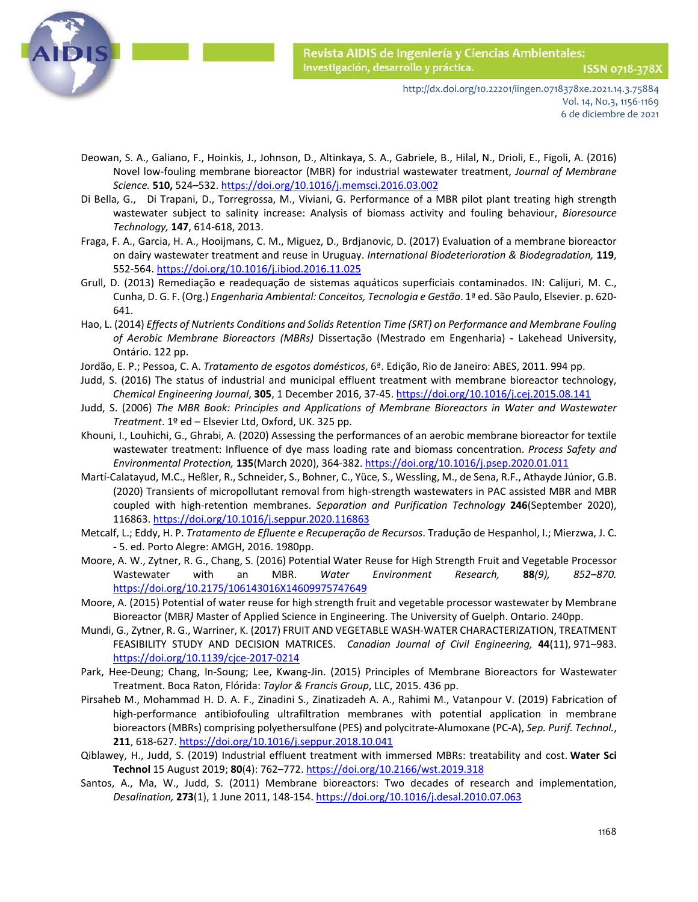

ISSN 0718-378X

http://dx.doi.org/10.22201/iingen.0718378xe.2021.14.3.75884 Vol. 14, No.3, 1156-1169 6 de diciembre de 2021

- Deowan, S. A., Galiano, F., Hoinkis, J., Johnson, D., Altinkaya, S. A., Gabriele, B., Hilal, N., Drioli, E., Figoli, A. (2016) Novel low-fouling membrane bioreactor (MBR) for industrial wastewater treatment, *Journal of Membrane Science.* **510,** 524–532. https://doi.org[/10.1016/j.memsci.2016.03.002](https://doi.org/10.1016/j.memsci.2016.03.002)
- [Di Bella,](https://www.sciencedirect.com/science/article/abs/pii/S0960852413012546#!) G., [Di Trapani, D., Torregrossa, M., Viviani, G.](https://www.sciencedirect.com/science/article/abs/pii/S0960852413012546#!) Performance of a MBR pilot plant treating high strength wastewater subject to salinity increase: Analysis of biomass activity and fouling behaviour, *[Bioresource](https://www.sciencedirect.com/science/journal/09608524)  [Technology,](https://www.sciencedirect.com/science/journal/09608524)* **[147](https://www.sciencedirect.com/science/journal/09608524/147/supp/C)**, 614-618, 2013.
- Fraga, F. A., Garcia, H. A., Hooijmans, C. M., Miguez, D., Brdjanovic, D. (2017) Evaluation of a membrane bioreactor on dairy wastewater treatment and reuse in Uruguay. *International Biodeterioration & Biodegradation,* **119**, 552-564. <https://doi.org/10.1016/j.ibiod.2016.11.025>
- Grull, D. (2013) Remediação e readequação de sistemas aquáticos superficiais contaminados. IN: Calijuri, M. C., Cunha, D. G. F. (Org.) *Engenharia Ambiental: Conceitos, Tecnologia e Gestão*. 1ª ed. São Paulo, Elsevier. p. 620- 641.
- Hao, L. (2014) *Effects of Nutrients Conditions and Solids Retention Time (SRT) on Performance and Membrane Fouling of Aerobic Membrane Bioreactors (MBRs)* Dissertação (Mestrado em Engenharia) **-** Lakehead University, Ontário. 122 pp.
- Jordão, E. P.; Pessoa, C. A. *Tratamento de esgotos domésticos*, 6ª. Edição, Rio de Janeiro: ABES, 2011. 994 pp.
- Judd, S. (2016) The status of industrial and municipal effluent treatment with membrane bioreactor technology, *Chemical Engineering Journal*, **305**, 1 December 2016, 37-45.<https://doi.org/10.1016/j.cej.2015.08.141>
- Judd, S. (2006) *The MBR Book: Principles and Applications of Membrane Bioreactors in Water and Wastewater Treatment*. 1º ed – Elsevier Ltd, Oxford, UK. 325 pp.
- Khouni, I., Louhichi, G., Ghrabi, A. (2020) Assessing the performances of an aerobic membrane bioreactor for textile wastewater treatment: Influence of dye mass loading rate and biomass concentration. *Process Safety and Environmental Protection,* **135**(March 2020), 364-382[. https://doi.org/10.1016/j.psep.2020.01.011](https://doi.org/10.1016/j.psep.2020.01.011)
- Martí-Calatayud, M.C., Heßler, R., Schneider, S., Bohner, C., Yüce, S., Wessling, M., de Sena, R.F., Athayde Júnior, G.B. (2020) Transients of micropollutant removal from high-strength wastewaters in PAC assisted MBR and MBR coupled with high-retention membranes. *Separation and Purification Technology* **246**(September 2020), 116863. https://doi.org/10.1016/j.seppur.2020.116863
- Metcalf, L.; Eddy, H. P. *Tratamento de Efluente e Recuperação de Recursos*. Tradução de Hespanhol, I.; Mierzwa, J. C. - 5. ed. Porto Alegre: AMGH, 2016. 1980pp.
- Moore, A. W., Zytner, R. G., Chang, S. (2016) Potential Water Reuse for High Strength Fruit and Vegetable Processor Wastewater with an MBR. *Water Environment Research,* **88***(9), 852–870.*  <https://doi.org/10.2175/106143016X14609975747649>
- Moore, A. (2015) Potential of water reuse for high strength fruit and vegetable processor wastewater by Membrane Bioreactor (MBR*)* Master of Applied Science in Engineering. The University of Guelph. Ontario. 240pp.
- Mundi, G., Zytner, R. G., Warriner, K. (2017) FRUIT AND VEGETABLE WASH-WATER CHARACTERIZATION, TREATMENT FEASIBILITY STUDY AND DECISION MATRICES. *Canadian Journal of Civil Engineering,* **44**(11), 971–983. <https://doi.org/10.1139/cjce-2017-0214>
- Park, Hee-Deung; Chang, In-Soung; Lee, Kwang-Jin. (2015) Principles of Membrane Bioreactors for Wastewater Treatment. Boca Raton, Flórida: *Taylor & Francis Group*, LLC, 2015. 436 pp.
- Pirsaheb M., Mohammad H. D. A. F., Zinadini S., Zinatizadeh A. A., Rahimi M., Vatanpour V. (2019) Fabrication of high-performance antibiofouling ultrafiltration membranes with potential application in membrane bioreactors (MBRs) comprising polyethersulfone (PES) and polycitrate-Alumoxane (PC-A), *Sep. Purif. Technol.*, **211**, 618-627. <https://doi.org/10.1016/j.seppur.2018.10.041>
- Qiblawey, H., Judd, S. (2019) Industrial effluent treatment with immersed MBRs: treatability and cost. **Water Sci Technol** 15 August 2019; **80**(4): 762–772. <https://doi.org/10.2166/wst.2019.318>
- Santos, A., Ma, W., Judd, S. (2011) Membrane bioreactors: Two decades of research and implementation, *Desalination,* **273**(1), 1 June 2011, 148-154[. https://doi.org/10.1016/j.desal.2010.07.063](https://doi.org/10.1016/j.desal.2010.07.063)